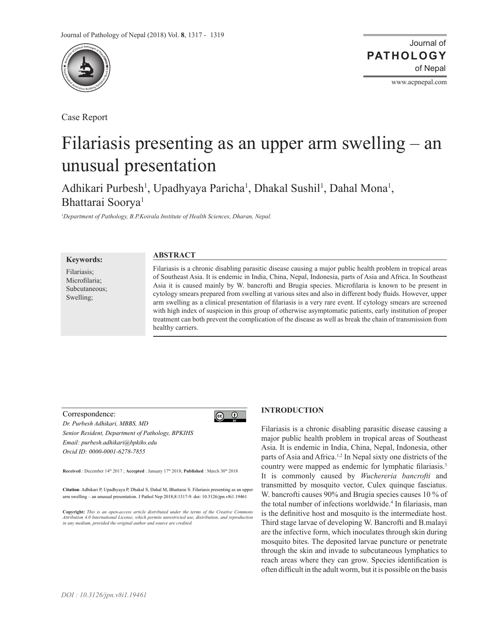

Case Report

Journal of of Nepal **PATHOLOGY**

www.acpnepal.com

# Filariasis presenting as an upper arm swelling – an unusual presentation

Adhikari Purbesh<sup>1</sup>, Upadhyaya Paricha<sup>1</sup>, Dhakal Sushil<sup>1</sup>, Dahal Mona<sup>1</sup>, Bhattarai Soorya<sup>1</sup>

*1 Department of Pathology, B.P.Koirala Institute of Health Sciences, Dharan, Nepal.*

**Keywords:**

Filariasis; Microfilaria; Subcutaneous; Swelling;

# **ABSTRACT**

Filariasis is a chronic disabling parasitic disease causing a major public health problem in tropical areas of Southeast Asia. It is endemic in India, China, Nepal, Indonesia, parts of Asia and Africa. In Southeast Asia it is caused mainly by W. bancrofti and Brugia species. Microfilaria is known to be present in cytology smears prepared from swelling at various sites and also in different body fluids. However, upper arm swelling as a clinical presentation of filariasis is a very rare event. If cytology smears are screened with high index of suspicion in this group of otherwise asymptomatic patients, early institution of proper treatment can both prevent the complication of the disease as well as break the chain of transmission from healthy carriers.

#### Correspondence:



*Dr. Purbesh Adhikari, MBBS, MD Senior Resident, Department of Pathology, BPKIHS Email: purbesh.adhikari@bpkihs.edu Orcid ID: 0000-0001-6278-7855*

**Received** : December 14<sup>th</sup> 2017 ; **Accepted** : January 17<sup>th</sup> 2018; **Published** : March 30<sup>th</sup> 2018

**Citation**: Adhikari P, Upadhyaya P, Dhakal S, Dahal M, Bhattarai S. Filariasis presenting as an upper arm swelling – an unusual presentation. J Pathol Nep 2018;8:1317-9. doi: 10.3126/jpn.v8i1.19461

**Copyright:** *This is an open-access article distributed under the terms of the Creative Commons Attribution 4.0 International License, which permits unrestricted use, distribution, and reproduction in any medium, provided the original author and source are credited.*

# **INTRODUCTION**

Filariasis is a chronic disabling parasitic disease causing a major public health problem in tropical areas of Southeast Asia. It is endemic in India, China, Nepal, Indonesia, other parts of Asia and Africa.1,2 In Nepal sixty one districts of the country were mapped as endemic for lymphatic filariasis.<sup>3</sup> It is commonly caused by *Wuchereria bancrofti* and transmitted by mosquito vector, Culex quinque fasciatus. W. bancrofti causes 90% and Brugia species causes 10 % of the total number of infections worldwide.<sup>4</sup> In filariasis, man is the definitive host and mosquito is the intermediate host. Third stage larvae of developing W. Bancrofti and B.malayi are the infective form, which inoculates through skin during mosquito bites. The deposited larvae puncture or penetrate through the skin and invade to subcutaneous lymphatics to reach areas where they can grow. Species identification is often difficult in the adult worm, but it is possible on the basis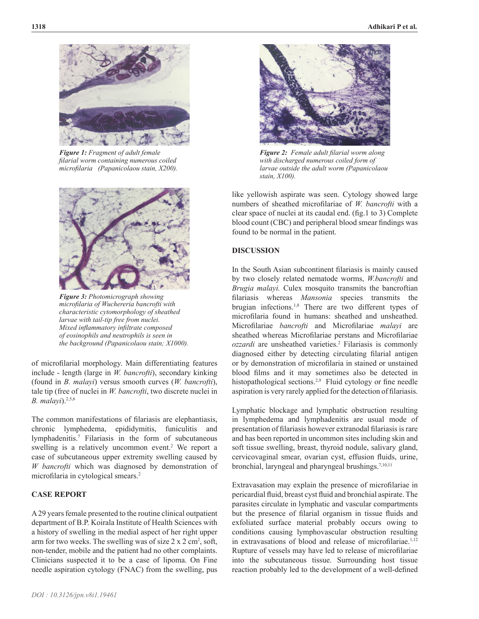

*Figure 1: Fragment of adult female filarial worm containing numerous coiled microfilaria (Papanicolaou stain, X200).*



*Figure 3: Photomicrograph showing microfilaria of Wuchereria bancrofti with characteristic cytomorphology of sheathed larvae with tail-tip free from nuclei. Mixed inflammatory infiltrate composed of eosinophils and neutrophils is seen in the background (Papanicolaou stain; X1000).*

of microfilarial morphology. Main differentiating features include - length (large in *W. bancrofti*), secondary kinking (found in *B. malayi*) versus smooth curves (*W. bancrofti*), tale tip (free of nuclei in *W. bancrofti*, two discrete nuclei in *B. malayi*).<sup>2,5,6</sup>

The common manifestations of filariasis are elephantiasis, chronic lymphedema, epididymitis, funiculitis and lymphadenitis.7 Filariasis in the form of subcutaneous swelling is a relatively uncommon event.<sup>2</sup> We report a case of subcutaneous upper extremity swelling caused by *W bancrofti* which was diagnosed by demonstration of microfilaria in cytological smears.<sup>2</sup>

# **CASE REPORT**

A 29 years female presented to the routine clinical outpatient department of B.P. Koirala Institute of Health Sciences with a history of swelling in the medial aspect of her right upper arm for two weeks. The swelling was of size  $2 \times 2$  cm<sup>2</sup>, soft, non-tender, mobile and the patient had no other complaints. Clinicians suspected it to be a case of lipoma. On Fine needle aspiration cytology (FNAC) from the swelling, pus



*Figure 2: Female adult filarial worm along with discharged numerous coiled form of larvae outside the adult worm (Papanicolaou stain, X100).*

like yellowish aspirate was seen. Cytology showed large numbers of sheathed microfilariae of *W. bancrofti* with a clear space of nuclei at its caudal end. (fig.1 to 3) Complete blood count (CBC) and peripheral blood smear findings was found to be normal in the patient.

# **DISCUSSION**

In the South Asian subcontinent filariasis is mainly caused by two closely related nematode worms, *W.bancrofti* and *Brugia malayi.* Culex mosquito transmits the bancroftian filariasis whereas *Mansonia* species transmits the brugian infections.1,8 There are two different types of microfilaria found in humans: sheathed and unsheathed. Microfilariae *bancrofti* and Microfilariae *malayi* are sheathed whereas Microfilariae perstans and Microfilariae *ozzardi* are unsheathed varieties.2 Filariasis is commonly diagnosed either by detecting circulating filarial antigen or by demonstration of microfilaria in stained or unstained blood films and it may sometimes also be detected in histopathological sections.<sup>2,9</sup> Fluid cytology or fine needle aspiration is very rarely applied for the detection of filariasis.

Lymphatic blockage and lymphatic obstruction resulting in lymphedema and lymphadenitis are usual mode of presentation of filariasis however extranodal filariasis is rare and has been reported in uncommon sites including skin and soft tissue swelling, breast, thyroid nodule, salivary gland, cervicovaginal smear, ovarian cyst, effusion fluids, urine, bronchial, laryngeal and pharyngeal brushings.7,10,11

Extravasation may explain the presence of microfilariae in pericardial fluid, breast cyst fluid and bronchial aspirate. The parasites circulate in lymphatic and vascular compartments but the presence of filarial organism in tissue fluids and exfoliated surface material probably occurs owing to conditions causing lymphovascular obstruction resulting in extravasations of blood and release of microfilariae.<sup>1,12</sup> Rupture of vessels may have led to release of microfilariae into the subcutaneous tissue. Surrounding host tissue reaction probably led to the development of a well-defined